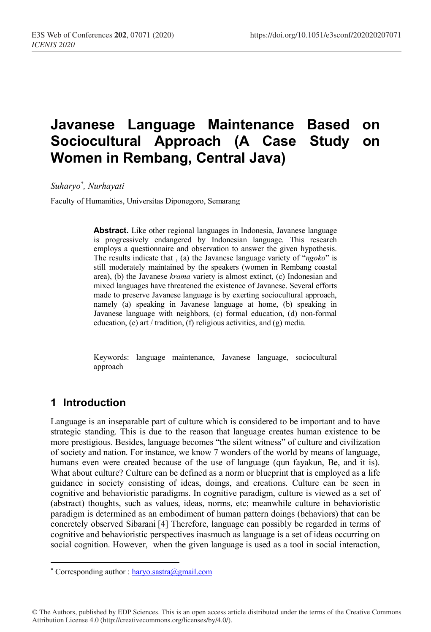# **Javanese Language Maintenance Based on Sociocultural Approach (A Case Study on Women in Rembang, Central Java)**

*Suharyo\* , Nurhayati*

Faculty of Humanities, Universitas Diponegoro, Semarang

**Abstract.** Like other regional languages in Indonesia, Javanese language is progressively endangered by Indonesian language. This research employs a questionnaire and observation to answer the given hypothesis. The results indicate that , (a) the Javanese language variety of "*ngoko*" is still moderately maintained by the speakers (women in Rembang coastal area), (b) the Javanese *krama* variety is almost extinct, (c) Indonesian and mixed languages have threatened the existence of Javanese. Several efforts made to preserve Javanese language is by exerting sociocultural approach, namely (a) speaking in Javanese language at home, (b) speaking in Javanese language with neighbors, (c) formal education, (d) non-formal education, (e) art / tradition, (f) religious activities, and (g) media.

Keywords: language maintenance, Javanese language, sociocultural approach

## **1 Introduction**

 $\overline{\phantom{a}}$ 

Language is an inseparable part of culture which is considered to be important and to have strategic standing. This is due to the reason that language creates human existence to be more prestigious. Besides, language becomes "the silent witness" of culture and civilization of society and nation. For instance, we know 7 wonders of the world by means of language, humans even were created because of the use of language (qun fayakun, Be, and it is). What about culture? Culture can be defined as a norm or blueprint that is employed as a life guidance in society consisting of ideas, doings, and creations. Culture can be seen in cognitive and behavioristic paradigms. In cognitive paradigm, culture is viewed as a set of (abstract) thoughts, such as values, ideas, norms, etc; meanwhile culture in behavioristic paradigm is determined as an embodiment of human pattern doings (behaviors) that can be concretely observed Sibarani [4] Therefore, language can possibly be regarded in terms of cognitive and behavioristic perspectives inasmuch as language is a set of ideas occurring on social cognition. However, when the given language is used as a tool in social interaction,

© The Authors, published by EDP Sciences. This is an open access article distributed under the terms of the Creative Commons Attribution License 4.0 (http://creativecommons.org/licenses/by/4.0/).

<sup>\*</sup> Corresponding author : haryo.sastra@gmail.com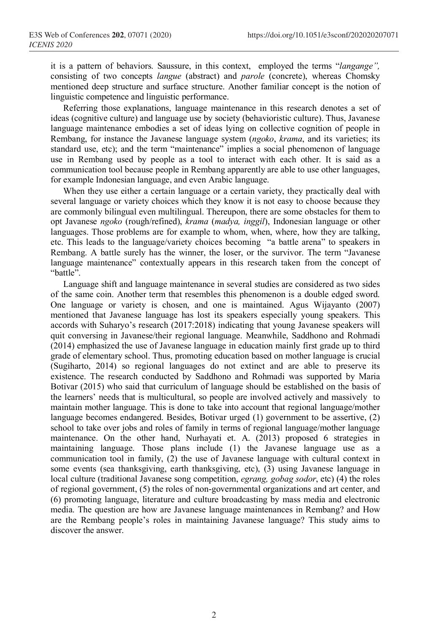it is a pattern of behaviors. Saussure, in this context, employed the terms "*langange",*  consisting of two concepts *langue* (abstract) and *parole* (concrete), whereas Chomsky mentioned deep structure and surface structure. Another familiar concept is the notion of linguistic competence and linguistic performance.

Referring those explanations, language maintenance in this research denotes a set of ideas (cognitive culture) and language use by society (behavioristic culture). Thus, Javanese language maintenance embodies a set of ideas lying on collective cognition of people in Rembang, for instance the Javanese language system (*ngoko*, *krama*, and its varieties; its standard use, etc); and the term "maintenance" implies a social phenomenon of language use in Rembang used by people as a tool to interact with each other. It is said as a communication tool because people in Rembang apparently are able to use other languages, for example Indonesian language, and even Arabic language.

When they use either a certain language or a certain variety, they practically deal with several language or variety choices which they know it is not easy to choose because they are commonly bilingual even multilingual. Thereupon, there are some obstacles for them to opt Javanese *ngoko* (rough/refined), *krama* (*madya, inggil*), Indonesian language or other languages. Those problems are for example to whom, when, where, how they are talking, etc. This leads to the language/variety choices becoming "a battle arena" to speakers in Rembang. A battle surely has the winner, the loser, or the survivor. The term "Javanese language maintenance" contextually appears in this research taken from the concept of "battle".

Language shift and language maintenance in several studies are considered as two sides of the same coin. Another term that resembles this phenomenon is a double edged sword. One language or variety is chosen, and one is maintained. Agus Wijayanto (2007) mentioned that Javanese language has lost its speakers especially young speakers. This accords with Suharyo's research (2017:2018) indicating that young Javanese speakers will quit conversing in Javanese/their regional language. Meanwhile, Saddhono and Rohmadi (2014) emphasized the use of Javanese language in education mainly first grade up to third grade of elementary school. Thus, promoting education based on mother language is crucial (Sugiharto, 2014) so regional languages do not extinct and are able to preserve its existence. The research conducted by Saddhono and Rohmadi was supported by Maria Botivar (2015) who said that curriculum of language should be established on the basis of the learners' needs that is multicultural, so people are involved actively and massively to maintain mother language. This is done to take into account that regional language/mother language becomes endangered. Besides, Botivar urged (1) government to be assertive, (2) school to take over jobs and roles of family in terms of regional language/mother language maintenance. On the other hand, Nurhayati et. A. (2013) proposed 6 strategies in maintaining language. Those plans include (1) the Javanese language use as a communication tool in family, (2) the use of Javanese language with cultural context in some events (sea thanksgiving, earth thanksgiving, etc), (3) using Javanese language in local culture (traditional Javanese song competition, *egrang, gobag sodor*, etc) (4) the roles of regional government, (5) the roles of non-governmental organizations and art center, and (6) promoting language, literature and culture broadcasting by mass media and electronic media. The question are how are Javanese language maintenances in Rembang? and How are the Rembang people's roles in maintaining Javanese language? This study aims to discover the answer.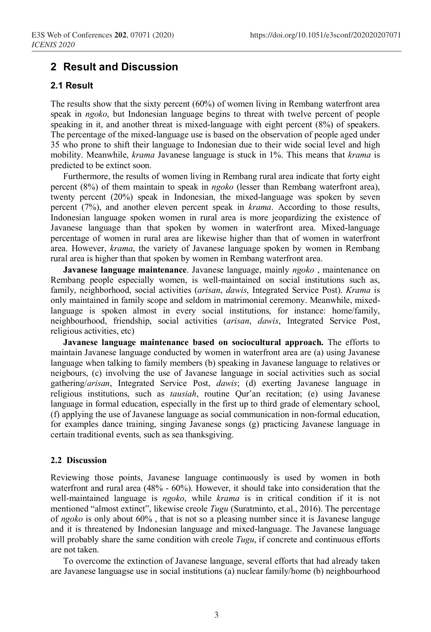### **2 Result and Discussion**

#### **2.1 Result**

The results show that the sixty percent (60%) of women living in Rembang waterfront area speak in *ngoko*, but Indonesian language begins to threat with twelve percent of people speaking in it, and another threat is mixed-language with eight percent (8%) of speakers. The percentage of the mixed-language use is based on the observation of people aged under 35 who prone to shift their language to Indonesian due to their wide social level and high mobility. Meanwhile, *krama* Javanese language is stuck in 1%. This means that *krama* is predicted to be extinct soon.

Furthermore, the results of women living in Rembang rural area indicate that forty eight percent (8%) of them maintain to speak in *ngoko* (lesser than Rembang waterfront area), twenty percent (20%) speak in Indonesian, the mixed-language was spoken by seven percent (7%), and another eleven percent speak in *krama*. According to those results, Indonesian language spoken women in rural area is more jeopardizing the existence of Javanese language than that spoken by women in waterfront area. Mixed-language percentage of women in rural area are likewise higher than that of women in waterfront area. However, *krama*, the variety of Javanese language spoken by women in Rembang rural area is higher than that spoken by women in Rembang waterfront area.

**Javanese language maintenance**. Javanese language, mainly *ngoko* , maintenance on Rembang people especially women, is well-maintained on social institutions such as, family, neighborhood, social activities (*arisan*, *dawis*, Integrated Service Post). *Krama* is only maintained in family scope and seldom in matrimonial ceremony. Meanwhile, mixedlanguage is spoken almost in every social institutions, for instance: home/family, neighbourhood, friendship, social activities (*arisan*, *dawis*, Integrated Service Post, religious activities, etc)

**Javanese language maintenance based on sociocultural approach.** The efforts to maintain Javanese language conducted by women in waterfront area are (a) using Javanese language when talking to family members (b) speaking in Javanese language to relatives or neigbours, (c) involving the use of Javanese language in social activities such as social gathering/*arisan*, Integrated Service Post, *dawis*; (d) exerting Javanese language in religious institutions, such as *tausiah*, routine Qur'an recitation; (e) using Javanese language in formal education, especially in the first up to third grade of elementary school, (f) applying the use of Javanese language as social communication in non-formal education, for examples dance training, singing Javanese songs (g) practicing Javanese language in certain traditional events, such as sea thanksgiving.

#### **2.2 Discussion**

Reviewing those points, Javanese language continuously is used by women in both waterfront and rural area (48% - 60%). However, it should take into consideration that the well-maintained language is *ngoko*, while *krama* is in critical condition if it is not mentioned "almost extinct", likewise creole *Tugu* (Suratminto, et.al., 2016). The percentage of *ngoko* is only about 60% , that is not so a pleasing number since it is Javanese languge and it is threatened by Indonesian language and mixed-language. The Javanese language will probably share the same condition with creole *Tugu*, if concrete and continuous efforts are not taken.

To overcome the extinction of Javanese language, several efforts that had already taken are Javanese languagse use in social institutions (a) nuclear family/home (b) neighbourhood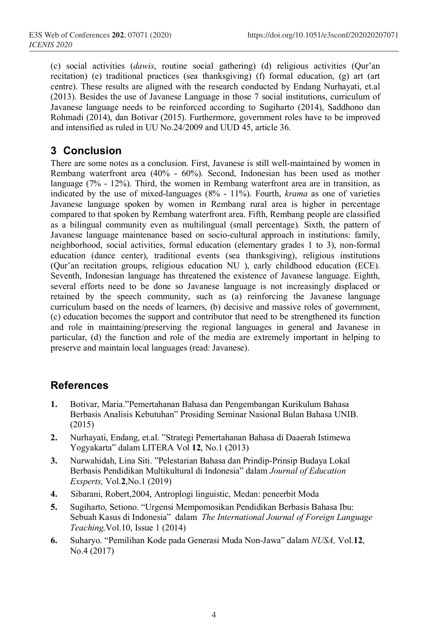(c) social activities (*dawis*, routine social gathering) (d) religious activities (Qur'an recitation) (e) traditional practices (sea thanksgiving) (f) formal education, (g) art (art centre). These results are aligned with the research conducted by Endang Nurhayati, et.al (2013). Besides the use of Javanese Language in those 7 social institutions, curriculum of Javanese language needs to be reinforced according to Sugiharto (2014), Saddhono dan Rohmadi (2014), dan Botivar (2015). Furthermore, government roles have to be improved and intensified as ruled in UU No.24/2009 and UUD 45, article 36.

## **3 Conclusion**

There are some notes as a conclusion. First, Javanese is still well-maintained by women in Rembang waterfront area (40% - 60%). Second, Indonesian has been used as mother language (7% - 12%). Third, the women in Rembang waterfront area are in transition, as indicated by the use of mixed-languages (8% - 11%). Fourth, *krama* as one of varieties Javanese language spoken by women in Rembang rural area is higher in percentage compared to that spoken by Rembang waterfront area. Fifth, Rembang people are classified as a bilingual community even as multilingual (small percentage). Sixth, the pattern of Javanese language maintenance based on socio-cultural approach in institutions: family, neighborhood, social activities, formal education (elementary grades 1 to 3), non-formal education (dance center), traditional events (sea thanksgiving), religious institutions (Qur'an recitation groups, religious education NU ), early childhood education (ECE). Seventh, Indonesian language has threatened the existence of Javanese language. Eighth, several efforts need to be done so Javanese language is not increasingly displaced or retained by the speech community, such as (a) reinforcing the Javanese language curriculum based on the needs of learners, (b) decisive and massive roles of government, (c) education becomes the support and contributor that need to be strengthened its function and role in maintaining/preserving the regional languages in general and Javanese in particular, (d) the function and role of the media are extremely important in helping to preserve and maintain local languages (read: Javanese).

## **References**

- **1.** Botivar, Maria."Pemertahanan Bahasa dan Pengembangan Kurikulum Bahasa Berbasis Analisis Kebutuhan" Prosiding Seminar Nasional Bulan Bahasa UNIB. (2015)
- **2.** Nurhayati, Endang, et.al. "Strategi Pemertahanan Bahasa di Daaerah Istimewa Yogyakarta" dalam LITERA Vol **12**, No.1 (2013)
- **3.** Nurwahidah, Lina Siti. "Pelestarian Bahasa dan Prindip-Prinsip Budaya Lokal Berbasis Pendidikan Multikultural di Indonesia" dalam *Journal of Education Exsperts,* Vol.**2**,No.1 (2019)
- **4.** Sibarani, Robert,2004, Antroplogi linguistic, Medan: peneerbit Moda
- **5.** Sugiharto, Setiono. "Urgensi Mempomosikan Pendidikan Berbasis Bahasa Ibu: Sebuah Kasus di Indonesia" dalam *The International Journal of Foreign Language Teaching,*Vol.10, Issue 1 (2014)
- **6.** Suharyo. "Pemilihan Kode pada Generasi Muda Non-Jawa" dalam *NUSA,* Vol.**12**, No.4 (2017)